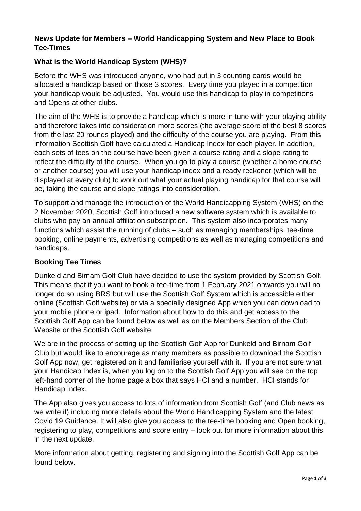## **News Update for Members – World Handicapping System and New Place to Book Tee-Times**

## **What is the World Handicap System (WHS)?**

Before the WHS was introduced anyone, who had put in 3 counting cards would be allocated a handicap based on those 3 scores. Every time you played in a competition your handicap would be adjusted. You would use this handicap to play in competitions and Opens at other clubs.

The aim of the WHS is to provide a handicap which is more in tune with your playing ability and therefore takes into consideration more scores (the average score of the best 8 scores from the last 20 rounds played) and the difficulty of the course you are playing. From this information Scottish Golf have calculated a Handicap Index for each player. In addition, each sets of tees on the course have been given a course rating and a slope rating to reflect the difficulty of the course. When you go to play a course (whether a home course or another course) you will use your handicap index and a ready reckoner (which will be displayed at every club) to work out what your actual playing handicap for that course will be, taking the course and slope ratings into consideration.

To support and manage the introduction of the World Handicapping System (WHS) on the 2 November 2020, Scottish Golf introduced a new software system which is available to clubs who pay an annual affiliation subscription. This system also incorporates many functions which assist the running of clubs – such as managing memberships, tee-time booking, online payments, advertising competitions as well as managing competitions and handicaps.

## **Booking Tee Times**

Dunkeld and Birnam Golf Club have decided to use the system provided by Scottish Golf. This means that if you want to book a tee-time from 1 February 2021 onwards you will no longer do so using BRS but will use the Scottish Golf System which is accessible either online (Scottish Golf website) or via a specially designed App which you can download to your mobile phone or ipad. Information about how to do this and get access to the Scottish Golf App can be found below as well as on the Members Section of the Club Website or the Scottish Golf website.

We are in the process of setting up the Scottish Golf App for Dunkeld and Birnam Golf Club but would like to encourage as many members as possible to download the Scottish Golf App now, get registered on it and familiarise yourself with it. If you are not sure what your Handicap Index is, when you log on to the Scottish Golf App you will see on the top left-hand corner of the home page a box that says HCI and a number. HCI stands for Handicap Index.

The App also gives you access to lots of information from Scottish Golf (and Club news as we write it) including more details about the World Handicapping System and the latest Covid 19 Guidance. It will also give you access to the tee-time booking and Open booking, registering to play, competitions and score entry – look out for more information about this in the next update.

More information about getting, registering and signing into the Scottish Golf App can be found below.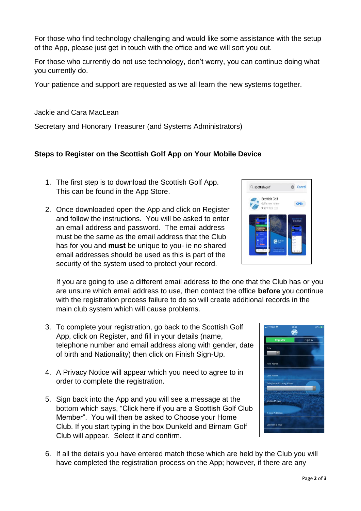For those who find technology challenging and would like some assistance with the setup of the App, please just get in touch with the office and we will sort you out.

For those who currently do not use technology, don't worry, you can continue doing what you currently do.

Your patience and support are requested as we all learn the new systems together.

Jackie and Cara MacLean

Secretary and Honorary Treasurer (and Systems Administrators)

## **Steps to Register on the Scottish Golf App on Your Mobile Device**

- 1. The first step is to download the Scottish Golf App. This can be found in the App Store.
- 2. Once downloaded open the App and click on Register and follow the instructions. You will be asked to enter an email address and password. The email address must be the same as the email address that the Club has for you and **must** be unique to you- ie no shared email addresses should be used as this is part of the security of the system used to protect your record.

If you are going to use a different email address to the one that the Club has or you are unsure which email address to use, then contact the office **before** you continue with the registration process failure to do so will create additional records in the main club system which will cause problems.

- 3. To complete your registration, go back to the Scottish Golf App, click on Register, and fill in your details (name, telephone number and email address along with gender, date of birth and Nationality) then click on Finish Sign-Up.
- 4. A Privacy Notice will appear which you need to agree to in order to complete the registration.
- 5. Sign back into the App and you will see a message at the bottom which says, "Click here if you are a Scottish Golf Club Member". You will then be asked to Choose your Home Club. If you start typing in the box Dunkeld and Birnam Golf Club will appear. Select it and confirm.



6. If all the details you have entered match those which are held by the Club you will have completed the registration process on the App; however, if there are any